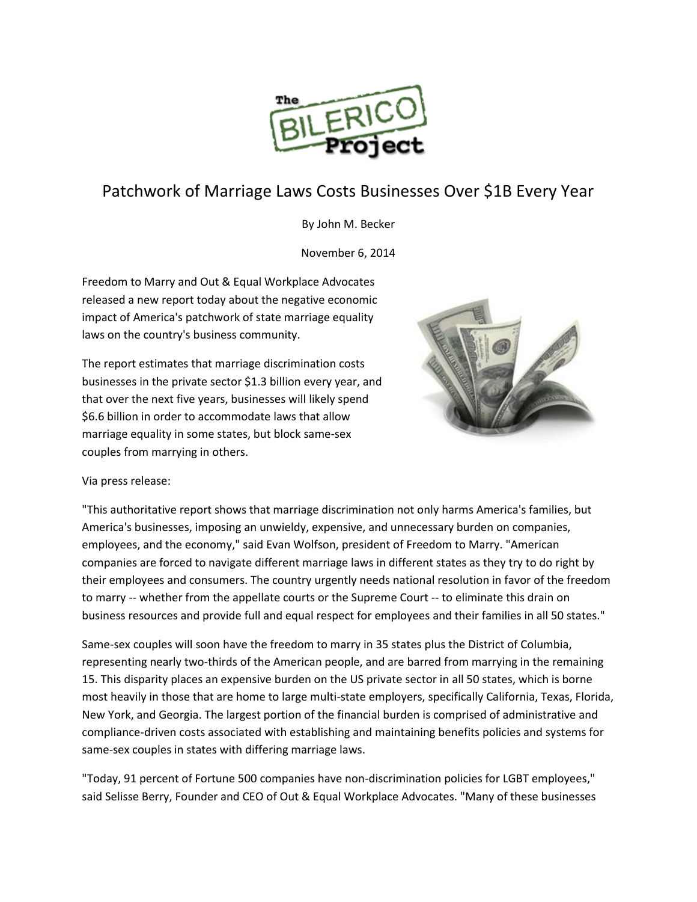

## Patchwork of Marriage Laws Costs Businesses Over \$1B Every Year

By John M. Becker

November 6, 2014

Freedom to Marry and Out & Equal Workplace Advocates released a new report today about the negative economic impact of America's patchwork of state marriage equality laws on the country's business community.

The report estimates that marriage discrimination costs businesses in the private sector \$1.3 billion every year, and that over the next five years, businesses will likely spend \$6.6 billion in order to accommodate laws that allow marriage equality in some states, but block same-sex couples from marrying in others.



Via press release:

"This authoritative report shows that marriage discrimination not only harms America's families, but America's businesses, imposing an unwieldy, expensive, and unnecessary burden on companies, employees, and the economy," said Evan Wolfson, president of Freedom to Marry. "American companies are forced to navigate different marriage laws in different states as they try to do right by their employees and consumers. The country urgently needs national resolution in favor of the freedom to marry -- whether from the appellate courts or the Supreme Court -- to eliminate this drain on business resources and provide full and equal respect for employees and their families in all 50 states."

Same-sex couples will soon have the freedom to marry in 35 states plus the District of Columbia, representing nearly two-thirds of the American people, and are barred from marrying in the remaining 15. This disparity places an expensive burden on the US private sector in all 50 states, which is borne most heavily in those that are home to large multi-state employers, specifically California, Texas, Florida, New York, and Georgia. The largest portion of the financial burden is comprised of administrative and compliance-driven costs associated with establishing and maintaining benefits policies and systems for same-sex couples in states with differing marriage laws.

"Today, 91 percent of Fortune 500 companies have non-discrimination policies for LGBT employees," said Selisse Berry, Founder and CEO of Out & Equal Workplace Advocates. "Many of these businesses